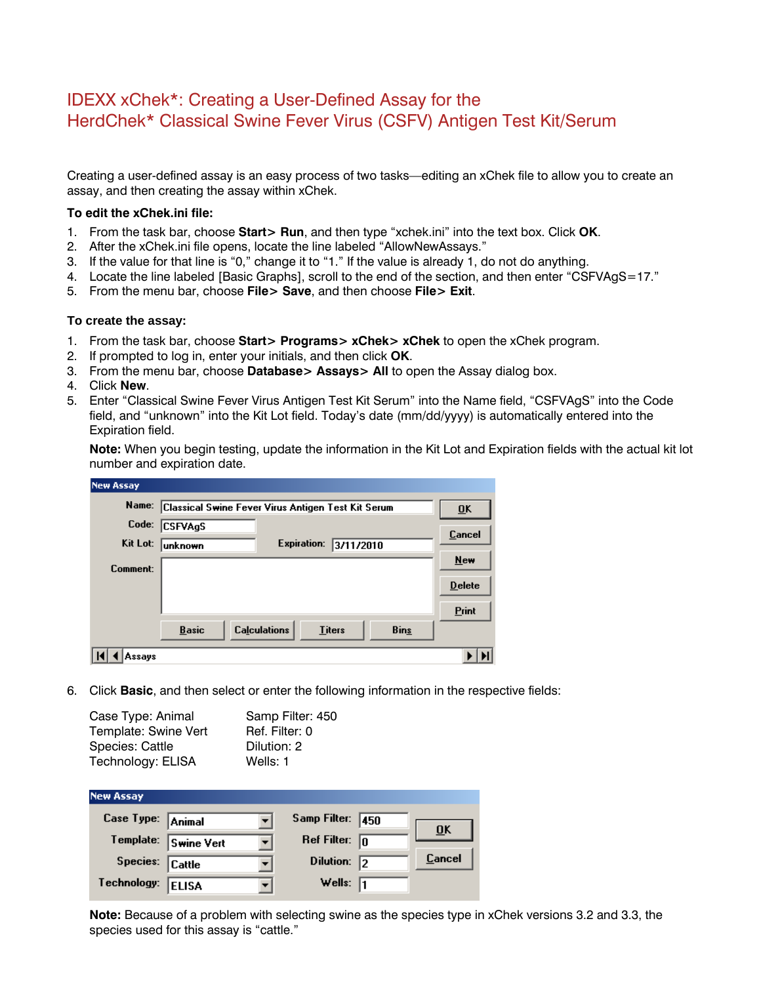## IDEXX xChek\*: Creating a User-Defined Assay for the HerdChek\* Classical Swine Fever Virus (CSFV) Antigen Test Kit/Serum

Creating a user-defined assay is an easy process of two tasks—editing an xChek file to allow you to create an assay, and then creating the assay within xChek.

## **To edit the xChek.ini file:**

- 1. From the task bar, choose **Start> Run**, and then type "xchek.ini" into the text box. Click **OK**.
- 2. After the xChek.ini file opens, locate the line labeled "AllowNewAssays."
- 3. If the value for that line is "0," change it to "1." If the value is already 1, do not do anything.
- 4. Locate the line labeled [Basic Graphs], scroll to the end of the section, and then enter "CSFVAgS=17."
- 5. From the menu bar, choose **File> Save**, and then choose **File> Exit**.

## **To create the assay:**

- 1. From the task bar, choose **Start> Programs> xChek> xChek** to open the xChek program.
- 2. If prompted to log in, enter your initials, and then click **OK**.
- 3. From the menu bar, choose **Database> Assays> All** to open the Assay dialog box.
- 4. Click **New**.
- 5. Enter "Classical Swine Fever Virus Antigen Test Kit Serum" into the Name field, "CSFVAgS" into the Code field, and "unknown" into the Kit Lot field. Today's date (mm/dd/yyyy) is automatically entered into the Expiration field.

**Note:** When you begin testing, update the information in the Kit Lot and Expiration fields with the actual kit lot number and expiration date.

| <b>New Assay</b> |                                                    |                     |               |             |               |
|------------------|----------------------------------------------------|---------------------|---------------|-------------|---------------|
| Name:            | Classical Swine Fever Virus Antigen Test Kit Serum |                     |               |             | ŪK            |
| Code:            | <b>CSFVAgS</b>                                     |                     |               |             | Cancel        |
| Kit Lot:         | unknown                                            | <b>Expiration:</b>  | 3/11/2010     |             |               |
| Comment:         |                                                    |                     |               |             | New           |
|                  |                                                    |                     |               |             | <b>Delete</b> |
|                  |                                                    |                     |               |             | <b>Print</b>  |
|                  | <b>Basic</b>                                       | <b>Calculations</b> | <b>Titers</b> | <b>Bins</b> |               |
| Assays           |                                                    |                     |               |             | Л             |

6. Click **Basic**, and then select or enter the following information in the respective fields:

| Case Type: Animal    | Samp Filter: 450 |
|----------------------|------------------|
| Template: Swine Vert | Ref. Filter: 0   |
| Species: Cattle      | Dilution: 2      |
| Technology: ELISA    | Wells: 1         |

| <b>New Assay</b>  |                      |                         |    |                           |
|-------------------|----------------------|-------------------------|----|---------------------------|
| Case Type: Animal |                      | Samp Filter: 450        |    | $\overline{\mathbf{0}}$ K |
|                   | Template: Swine Vert | Ref Filter: $\boxed{0}$ |    |                           |
| Species: Cattle   |                      | Dilution:               | l2 | Cancel                    |
| Technology:       | <b>ELISA</b>         | Wells: $\sqrt{1}$       |    |                           |

**Note:** Because of a problem with selecting swine as the species type in xChek versions 3.2 and 3.3, the species used for this assay is "cattle."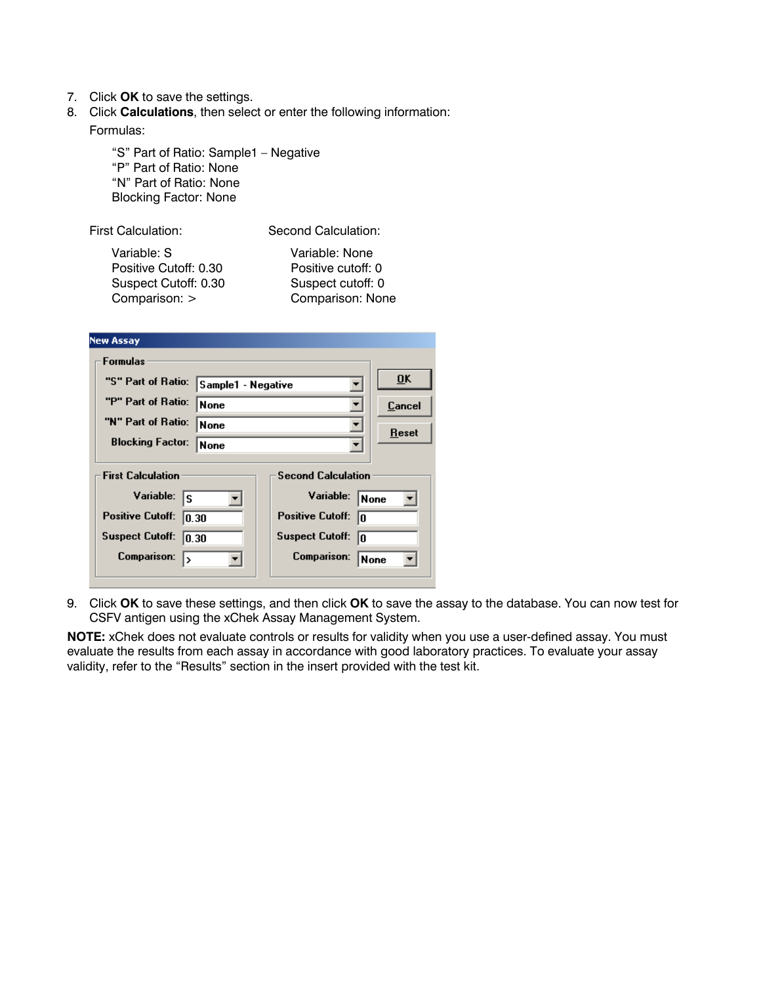- 7. Click **OK** to save the settings.
- 8. Click **Calculations**, then select or enter the following information: Formulas:

"S" Part of Ratio: Sample1 – Negative "P" Part of Ratio: None "N" Part of Ratio: None Blocking Factor: None

First Calculation: Second Calculation:

Variable: S Variable: None Positive Cutoff: 0.30 Positive cutoff: 0 Suspect Cutoff: 0.30 Suspect cutoff: 0 Comparison: > Comparison: None

| <b>New Assay</b>                                                              |  |                               |                           |  |
|-------------------------------------------------------------------------------|--|-------------------------------|---------------------------|--|
| <b>Formulas</b>                                                               |  |                               |                           |  |
| "S" Part of Ratio:<br>Sample1 - Negative<br>"P" Part of Ratio:<br><b>None</b> |  |                               | $\overline{\mathbf{0}}$ K |  |
|                                                                               |  | ▼                             | Cancel                    |  |
| "N" Part of Ratio:<br><b>None</b>                                             |  | ▼                             | Reset                     |  |
| <b>Blocking Factor:</b><br><b>None</b>                                        |  |                               |                           |  |
| <b>Second Calculation</b><br><b>First Calculation</b>                         |  |                               |                           |  |
| Variable:<br>lS.                                                              |  | Variable:                     | None                      |  |
| <b>Positive Cutoff:</b><br>10.30                                              |  | <b>Positive Cutoff:</b><br>I٥ |                           |  |
| <b>Suspect Cutoff:</b><br>10.30                                               |  | <b>Suspect Cutoff:</b><br>l٥  |                           |  |
| <b>Comparison:</b><br>15                                                      |  | Comparison:                   | None                      |  |
|                                                                               |  |                               |                           |  |

9. Click **OK** to save these settings, and then click **OK** to save the assay to the database. You can now test for CSFV antigen using the xChek Assay Management System.

**NOTE:** xChek does not evaluate controls or results for validity when you use a user-defined assay. You must evaluate the results from each assay in accordance with good laboratory practices. To evaluate your assay validity, refer to the "Results" section in the insert provided with the test kit.